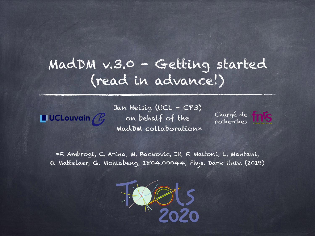### MadDM v.3.0 - Getting started (read in advance!)

**UCLouvain**  $\mathbb{Z}$ 

Jan Heisig (UCL - CP3) on behalf of the MadDM collaboration\*

Chargé de recherches

\*[F. Ambrogi, C. Arina, M. Backovic, JH, F. Maltoni, L. Mantani,](https://arxiv.org/abs/1804.00044)  [O. Mattelaer, G. Mohlabeng, 1804.00044, Phys. Dark Univ. \(2019\)](https://arxiv.org/abs/1804.00044)

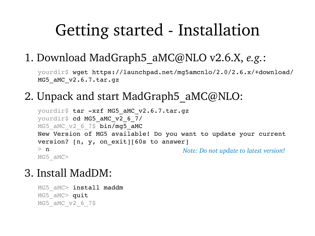## Getting started - Installation

#### 1. Download MadGraph5\_aMC@NLO v2.6.X, *e.g.*:

yourdir\$ wget [https://launchpad.net/mg5amcnlo/2.0/2.6.x/+download/](https://launchpad.net/mg5amcnlo/2.0/2.6.x/+download/MG5_aMC_v2.6.7.tar.gz) [MG5\\_aMC\\_v2.6.7.tar.gz](https://launchpad.net/mg5amcnlo/2.0/2.6.x/+download/MG5_aMC_v2.6.7.tar.gz)

#### 2. Unpack and start MadGraph5 aMC@NLO:

```
yourdir$ tar -xzf MG5_aMC_v2.6.7.tar.gz
yourdir$ cd MG5 aMC v2 6 7/
MG5 aMC v2 6 7$ bin/mg5 aMC
New Version of MG5 available! Do you want to update your current 
version? [n, y, on_exit][60s to answer] 
> nMG5_aMC>
                                        Note: Do not update to latest version!
```
#### 3. Install MadDM:

```
MG5 aMC> install maddm
MG5 aMC> quit
MG5_aMC_v2_6_7$
```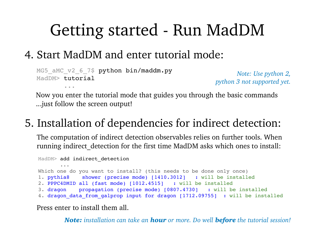# Getting started - Run MadDM

#### 4. Start MadDM and enter tutorial mode:

```
MG5_aMC_v2_6_7$ python bin/maddm.py
MadDM> tutorial
 ...
                                                         Note: Use python 2, 
                                                   python 3 not supported yet.
```
Now you enter the tutorial mode that guides you through the basic commands ...just follow the screen output!

### 5. Installation of dependencies for indirect detection:

The computation of indirect detection observables relies on further tools. When running indirect detection for the first time MadDM asks which ones to install:

MadDM> add indirect detection

 ... Which one do you want to install? (this needs to be done only once) 1. pythia8 shower (precise mode) [1410.3012] : will be installed 2. PPPC4DMID all (fast mode) [1012.4515] : will be installed 3. dragon propagation (precise mode) [0807.4730] : will be installed

4. dragon data from galprop input for dragon [1712.09755] : will be installed

Press enter to install them all.

*Note: installation can take an hour or more. Do well before the tutorial session!*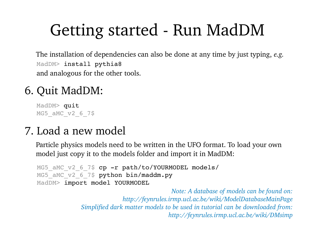# Getting started - Run MadDM

MadDM> install pythia8 The installation of dependencies can also be done at any time by just typing, *e.g.* and analogous for the other tools.

#### 6. Quit MadDM:

MadDM> quit MG5\_aMC\_v2\_6\_7\$

### 7. Load a new model

Particle physics models need to be written in the UFO format. To load your own model just copy it to the models folder and import it in MadDM:

```
MG5_aMC_v2_6_7$ cp -r path/to/YOURMODEL models/
MG5 aMC v2 6 7$ python bin/maddm.py
MadDM> import model YOURMODEL
```
*Note: A database of models can be found on: <http://feynrules.irmp.ucl.ac.be/wiki/ModelDatabaseMainPage> Simplified dark matter models to be used in tutorial can be downloaded from: http://feynrules.irmp.ucl.ac.be/wiki/DMsimp*